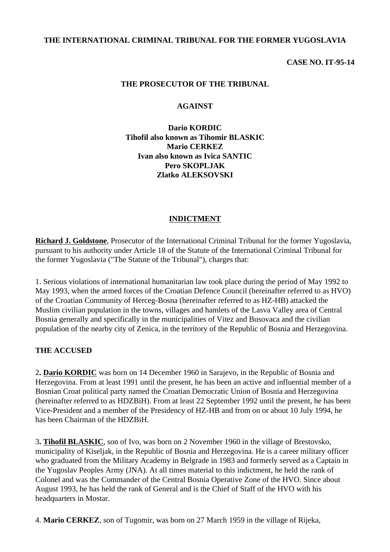#### **THE INTERNATIONAL CRIMINAL TRIBUNAL FOR THE FORMER YUGOSLAVIA**

#### **CASE NO. IT-95-14**

#### **THE PROSECUTOR OF THE TRIBUNAL**

#### **AGAINST**

**Dario KORDIC Tihofil also known as Tihomir BLASKIC Mario CERKEZ Ivan also known as Ivica SANTIC Pero SKOPLJAK Zlatko ALEKSOVSKI**

#### **INDICTMENT**

**Richard J. Goldstone**, Prosecutor of the International Criminal Tribunal for the former Yugoslavia, pursuant to his authority under Article 18 of the Statute of the International Criminal Tribunal for the former Yugoslavia ("The Statute of the Tribunal"), charges that:

1. Serious violations of international humanitarian law took place during the period of May 1992 to May 1993, when the armed forces of the Croatian Defence Council (hereinafter referred to as HVO) of the Croatian Community of Herceg-Bosna (hereinafter referred to as HZ-HB) attacked the Muslim civilian population in the towns, villages and hamlets of the Lasva Valley area of Central Bosnia generally and specifically in the municipalities of Vitez and Busovaca and the civilian population of the nearby city of Zenica, in the territory of the Republic of Bosnia and Herzegovina.

#### **THE ACCUSED**

2**. Dario KORDIC** was born on 14 December 1960 in Sarajevo, in the Republic of Bosnia and Herzegovina. From at least 1991 until the present, he has been an active and influential member of a Bosnian Croat political party named the Croatian Democratic Union of Bosnia and Herzegovina (hereinafter referred to as HDZBiH). From at least 22 September 1992 until the present, he has been Vice-President and a member of the Presidency of HZ-HB and from on or about 10 July 1994, he has been Chairman of the HDZBiH.

3**. Tihofil BLASKIC**, son of Ivo, was born on 2 November 1960 in the village of Brestovsko, municipality of Kiseljak, in the Republic of Bosnia and Herzegovina. He is a career military officer who graduated from the Military Academy in Belgrade in 1983 and formerly served as a Captain in the Yugoslav Peoples Army (JNA). At all times material to this indictment, he held the rank of Colonel and was the Commander of the Central Bosnia Operative Zone of the HVO. Since about August 1993, he has held the rank of General and is the Chief of Staff of the HVO with his headquarters in Mostar.

4. **Mario CERKEZ**, son of Tugomir, was born on 27 March 1959 in the village of Rijeka,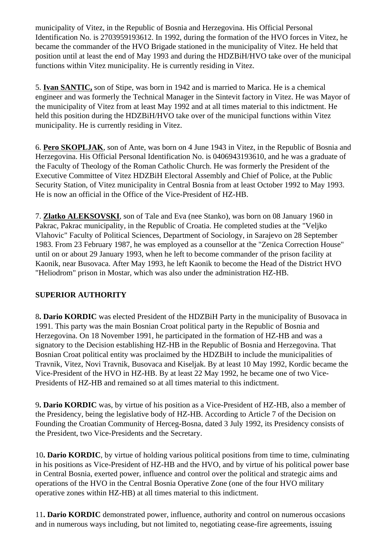municipality of Vitez, in the Republic of Bosnia and Herzegovina. His Official Personal Identification No. is 2703959193612. In 1992, during the formation of the HVO forces in Vitez, he became the commander of the HVO Brigade stationed in the municipality of Vitez. He held that position until at least the end of May 1993 and during the HDZBiH/HVO take over of the municipal functions within Vitez municipality. He is currently residing in Vitez.

5. **Ivan SANTIC,** son of Stipe, was born in 1942 and is married to Marica. He is a chemical engineer and was formerly the Technical Manager in the Sintevit factory in Vitez. He was Mayor of the municipality of Vitez from at least May 1992 and at all times material to this indictment. He held this position during the HDZBiH/HVO take over of the municipal functions within Vitez municipality. He is currently residing in Vitez.

6. **Pero SKOPLJAK**, son of Ante, was born on 4 June 1943 in Vitez, in the Republic of Bosnia and Herzegovina. His Official Personal Identification No. is 0406943193610, and he was a graduate of the Faculty of Theology of the Roman Catholic Church. He was formerly the President of the Executive Committee of Vitez HDZBiH Electoral Assembly and Chief of Police, at the Public Security Station, of Vitez municipality in Central Bosnia from at least October 1992 to May 1993. He is now an official in the Office of the Vice-President of HZ-HB.

7. **Zlatko ALEKSOVSKI**, son of Tale and Eva (nee Stanko), was born on 08 January 1960 in Pakrac, Pakrac municipality, in the Republic of Croatia. He completed studies at the "Veljko Vlahovic" Faculty of Political Sciences, Department of Sociology, in Sarajevo on 28 September 1983. From 23 February 1987, he was employed as a counsellor at the "Zenica Correction House" until on or about 29 January 1993, when he left to become commander of the prison facility at Kaonik, near Busovaca. After May 1993, he left Kaonik to become the Head of the District HVO "Heliodrom" prison in Mostar, which was also under the administration HZ-HB.

# **SUPERIOR AUTHORITY**

8**. Dario KORDIC** was elected President of the HDZBiH Party in the municipality of Busovaca in 1991. This party was the main Bosnian Croat political party in the Republic of Bosnia and Herzegovina. On 18 November 1991, he participated in the formation of HZ-HB and was a signatory to the Decision establishing HZ-HB in the Republic of Bosnia and Herzegovina. That Bosnian Croat political entity was proclaimed by the HDZBiH to include the municipalities of Travnik, Vitez, Novi Travnik, Busovaca and Kiseljak. By at least 10 May 1992, Kordic became the Vice-President of the HVO in HZ-HB. By at least 22 May 1992, he became one of two Vice-Presidents of HZ-HB and remained so at all times material to this indictment.

9**. Dario KORDIC** was, by virtue of his position as a Vice-President of HZ-HB, also a member of the Presidency, being the legislative body of HZ-HB. According to Article 7 of the Decision on Founding the Croatian Community of Herceg-Bosna, dated 3 July 1992, its Presidency consists of the President, two Vice-Presidents and the Secretary.

10**. Dario KORDIC**, by virtue of holding various political positions from time to time, culminating in his positions as Vice-President of HZ-HB and the HVO, and by virtue of his political power base in Central Bosnia, exerted power, influence and control over the political and strategic aims and operations of the HVO in the Central Bosnia Operative Zone (one of the four HVO military operative zones within HZ-HB) at all times material to this indictment.

11**. Dario KORDIC** demonstrated power, influence, authority and control on numerous occasions and in numerous ways including, but not limited to, negotiating cease-fire agreements, issuing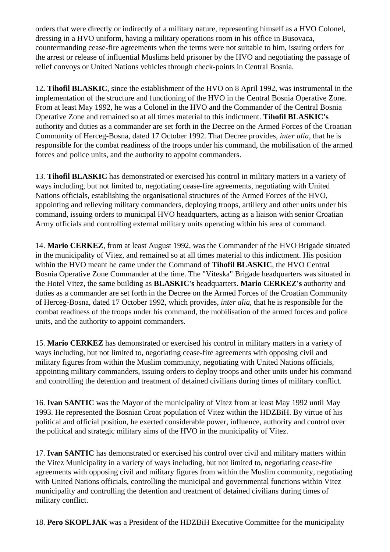orders that were directly or indirectly of a military nature, representing himself as a HVO Colonel, dressing in a HVO uniform, having a military operations room in his office in Busovaca, countermanding cease-fire agreements when the terms were not suitable to him, issuing orders for the arrest or release of influential Muslims held prisoner by the HVO and negotiating the passage of relief convoys or United Nations vehicles through check-points in Central Bosnia.

12**. Tihofil BLASKIC**, since the establishment of the HVO on 8 April 1992, was instrumental in the implementation of the structure and functioning of the HVO in the Central Bosnia Operative Zone. From at least May 1992, he was a Colonel in the HVO and the Commander of the Central Bosnia Operative Zone and remained so at all times material to this indictment. **Tihofil BLASKIC's** authority and duties as a commander are set forth in the Decree on the Armed Forces of the Croatian Community of Herceg-Bosna, dated 17 October 1992. That Decree provides, *inter alia*, that he is responsible for the combat readiness of the troops under his command, the mobilisation of the armed forces and police units, and the authority to appoint commanders.

13. **Tihofil BLASKIC** has demonstrated or exercised his control in military matters in a variety of ways including, but not limited to, negotiating cease-fire agreements, negotiating with United Nations officials, establishing the organisational structures of the Armed Forces of the HVO, appointing and relieving military commanders, deploying troops, artillery and other units under his command, issuing orders to municipal HVO headquarters, acting as a liaison with senior Croatian Army officials and controlling external military units operating within his area of command.

14. **Mario CERKEZ**, from at least August 1992, was the Commander of the HVO Brigade situated in the municipality of Vitez, and remained so at all times material to this indictment. His position within the HVO meant he came under the Command of **Tihofil BLASKIC**, the HVO Central Bosnia Operative Zone Commander at the time. The "Viteska" Brigade headquarters was situated in the Hotel Vitez, the same building as **BLASKIC's** headquarters. **Mario CERKEZ's** authority and duties as a commander are set forth in the Decree on the Armed Forces of the Croatian Community of Herceg-Bosna, dated 17 October 1992, which provides, *inter alia*, that he is responsible for the combat readiness of the troops under his command, the mobilisation of the armed forces and police units, and the authority to appoint commanders.

15. **Mario CERKEZ** has demonstrated or exercised his control in military matters in a variety of ways including, but not limited to, negotiating cease-fire agreements with opposing civil and military figures from within the Muslim community, negotiating with United Nations officials, appointing military commanders, issuing orders to deploy troops and other units under his command and controlling the detention and treatment of detained civilians during times of military conflict.

16. **Ivan SANTIC** was the Mayor of the municipality of Vitez from at least May 1992 until May 1993. He represented the Bosnian Croat population of Vitez within the HDZBiH. By virtue of his political and official position, he exerted considerable power, influence, authority and control over the political and strategic military aims of the HVO in the municipality of Vitez.

17. **Ivan SANTIC** has demonstrated or exercised his control over civil and military matters within the Vitez Municipality in a variety of ways including, but not limited to, negotiating cease-fire agreements with opposing civil and military figures from within the Muslim community, negotiating with United Nations officials, controlling the municipal and governmental functions within Vitez municipality and controlling the detention and treatment of detained civilians during times of military conflict.

18. **Pero SKOPLJAK** was a President of the HDZBiH Executive Committee for the municipality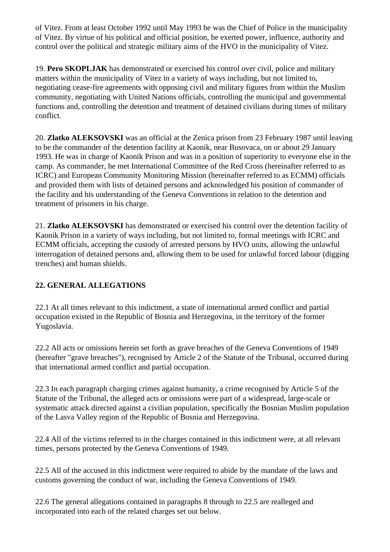of Vitez. From at least October 1992 until May 1993 he was the Chief of Police in the municipality of Vitez. By virtue of his political and official position, he exerted power, influence, authority and control over the political and strategic military aims of the HVO in the municipality of Vitez.

19. **Pero SKOPLJAK** has demonstrated or exercised his control over civil, police and military matters within the municipality of Vitez in a variety of ways including, but not limited to, negotiating cease-fire agreements with opposing civil and military figures from within the Muslim community, negotiating with United Nations officials, controlling the municipal and governmental functions and, controlling the detention and treatment of detained civilians during times of military conflict.

20. **Zlatko ALEKSOVSKI** was an official at the Zenica prison from 23 February 1987 until leaving to be the commander of the detention facility at Kaonik, near Busovaca, on or about 29 January 1993. He was in charge of Kaonik Prison and was in a position of superiority to everyone else in the camp. As commander, he met International Committee of the Red Cross (hereinafter referred to as ICRC) and European Community Monitoring Mission (hereinafter referred to as ECMM) officials and provided them with lists of detained persons and acknowledged his position of commander of the facility and his understanding of the Geneva Conventions in relation to the detention and treatment of prisoners in his charge.

21. **Zlatko ALEKSOVSKI** has demonstrated or exercised his control over the detention facility of Kaonik Prison in a variety of ways including, but not limited to, formal meetings with ICRC and ECMM officials, accepting the custody of arrested persons by HVO units, allowing the unlawful interrogation of detained persons and, allowing them to be used for unlawful forced labour (digging trenches) and human shields.

# **22. GENERAL ALLEGATIONS**

22.1 At all times relevant to this indictment, a state of international armed conflict and partial occupation existed in the Republic of Bosnia and Herzegovina, in the territory of the former Yugoslavia.

22.2 All acts or omissions herein set forth as grave breaches of the Geneva Conventions of 1949 (hereafter "grave breaches"), recognised by Article 2 of the Statute of the Tribunal, occurred during that international armed conflict and partial occupation.

22.3 In each paragraph charging crimes against humanity, a crime recognised by Article 5 of the Statute of the Tribunal, the alleged acts or omissions were part of a widespread, large-scale or systematic attack directed against a civilian population, specifically the Bosnian Muslim population of the Lasva Valley region of the Republic of Bosnia and Herzegovina.

22.4 All of the victims referred to in the charges contained in this indictment were, at all relevant times, persons protected by the Geneva Conventions of 1949.

22.5 All of the accused in this indictment were required to abide by the mandate of the laws and customs governing the conduct of war, including the Geneva Conventions of 1949.

22.6 The general allegations contained in paragraphs 8 through to 22.5 are realleged and incorporated into each of the related charges set out below.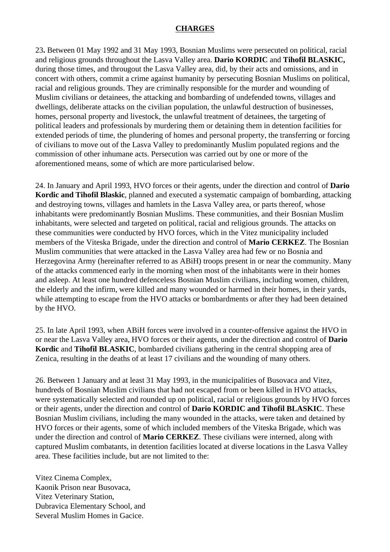#### **CHARGES**

23**.** Between 01 May 1992 and 31 May 1993, Bosnian Muslims were persecuted on political, racial and religious grounds throughout the Lasva Valley area. **Dario KORDIC** and **Tihofil BLASKIC,** during those times, and througout the Lasva Valley area, did, by their acts and omissions, and in concert with others, commit a crime against humanity by persecuting Bosnian Muslims on political, racial and religious grounds. They are criminally responsible for the murder and wounding of Muslim civilians or detainees, the attacking and bombarding of undefended towns, villages and dwellings, deliberate attacks on the civilian population, the unlawful destruction of businesses, homes, personal property and livestock, the unlawful treatment of detainees, the targeting of political leaders and professionals by murdering them or detaining them in detention facilities for extended periods of time, the plundering of homes and personal property, the transferring or forcing of civilians to move out of the Lasva Valley to predominantly Muslim populated regions and the commission of other inhumane acts. Persecution was carried out by one or more of the aforementioned means, some of which are more particularised below.

24. In January and April 1993, HVO forces or their agents, under the direction and control of **Dario Kordic and Tihofil Blaskic**, planned and executed a systematic campaign of bombarding, attacking and destroying towns, villages and hamlets in the Lasva Valley area, or parts thereof, whose inhabitants were predominantly Bosnian Muslims. These communities, and their Bosnian Muslim inhabitants, were selected and targeted on political, racial and religious grounds. The attacks on these communities were conducted by HVO forces, which in the Vitez municipality included members of the Viteska Brigade, under the direction and control of **Mario CERKEZ**. The Bosnian Muslim communities that were attacked in the Lasva Valley area had few or no Bosnia and Herzegovina Army (hereinafter referred to as ABiH) troops present in or near the community. Many of the attacks commenced early in the morning when most of the inhabitants were in their homes and asleep. At least one hundred defenceless Bosnian Muslim civilians, including women, children, the elderly and the infirm, were killed and many wounded or harmed in their homes, in their yards, while attempting to escape from the HVO attacks or bombardments or after they had been detained by the HVO.

25. In late April 1993, when ABiH forces were involved in a counter-offensive against the HVO in or near the Lasva Valley area, HVO forces or their agents, under the direction and control of **Dario Kordic** and **Tihofil BLASKIC**, bombarded civilians gathering in the central shopping area of Zenica, resulting in the deaths of at least 17 civilians and the wounding of many others.

26. Between 1 January and at least 31 May 1993, in the municipalities of Busovaca and Vitez, hundreds of Bosnian Muslim civilians that had not escaped from or been killed in HVO attacks, were systematically selected and rounded up on political, racial or religious grounds by HVO forces or their agents, under the direction and control of **Dario KORDIC and Tihofil BLASKIC**. These Bosnian Muslim civilians, including the many wounded in the attacks, were taken and detained by HVO forces or their agents, some of which included members of the Viteska Brigade, which was under the direction and control of **Mario CERKEZ**. These civilians were interned, along with captured Muslim combatants, in detention facilities located at diverse locations in the Lasva Valley area. These facilities include, but are not limited to the:

Vitez Cinema Complex, Kaonik Prison near Busovaca, Vitez Veterinary Station, Dubravica Elementary School, and Several Muslim Homes in Gacice.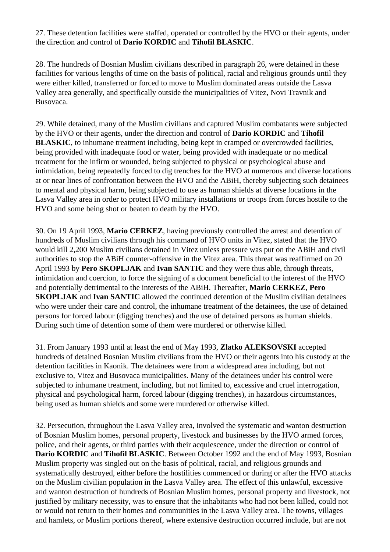27. These detention facilities were staffed, operated or controlled by the HVO or their agents, under the direction and control of **Dario KORDIC** and **Tihofil BLASKIC**.

28. The hundreds of Bosnian Muslim civilians described in paragraph 26, were detained in these facilities for various lengths of time on the basis of political, racial and religious grounds until they were either killed, transferred or forced to move to Muslim dominated areas outside the Lasva Valley area generally, and specifically outside the municipalities of Vitez, Novi Travnik and Busovaca.

29. While detained, many of the Muslim civilians and captured Muslim combatants were subjected by the HVO or their agents, under the direction and control of **Dario KORDIC** and **Tihofil BLASKIC**, to inhumane treatment including, being kept in cramped or overcrowded facilities, being provided with inadequate food or water, being provided with inadequate or no medical treatment for the infirm or wounded, being subjected to physical or psychological abuse and intimidation, being repeatedly forced to dig trenches for the HVO at numerous and diverse locations at or near lines of confrontation between the HVO and the ABiH, thereby subjecting such detainees to mental and physical harm, being subjected to use as human shields at diverse locations in the Lasva Valley area in order to protect HVO military installations or troops from forces hostile to the HVO and some being shot or beaten to death by the HVO.

30. On 19 April 1993, **Mario CERKEZ**, having previously controlled the arrest and detention of hundreds of Muslim civilians through his command of HVO units in Vitez, stated that the HVO would kill 2,200 Muslim civilians detained in Vitez unless pressure was put on the ABiH and civil authorities to stop the ABiH counter-offensive in the Vitez area. This threat was reaffirmed on 20 April 1993 by **Pero SKOPLJAK** and **Ivan SANTIC** and they were thus able, through threats, intimidation and coercion, to force the signing of a document beneficial to the interest of the HVO and potentially detrimental to the interests of the ABiH. Thereafter, **Mario CERKEZ**, **Pero SKOPLJAK** and **Ivan SANTIC** allowed the continued detention of the Muslim civilian detainees who were under their care and control, the inhumane treatment of the detainees, the use of detained persons for forced labour (digging trenches) and the use of detained persons as human shields. During such time of detention some of them were murdered or otherwise killed.

31. From January 1993 until at least the end of May 1993, **Zlatko ALEKSOVSKI** accepted hundreds of detained Bosnian Muslim civilians from the HVO or their agents into his custody at the detention facilities in Kaonik. The detainees were from a widespread area including, but not exclusive to, Vitez and Busovaca municipalities. Many of the detainees under his control were subjected to inhumane treatment, including, but not limited to, excessive and cruel interrogation, physical and psychological harm, forced labour (digging trenches), in hazardous circumstances, being used as human shields and some were murdered or otherwise killed.

32. Persecution, throughout the Lasva Valley area, involved the systematic and wanton destruction of Bosnian Muslim homes, personal property, livestock and businesses by the HVO armed forces, police, and their agents, or third parties with their acquiescence, under the direction or control of **Dario KORDIC** and **Tihofil BLASKIC**. Between October 1992 and the end of May 1993, Bosnian Muslim property was singled out on the basis of political, racial, and religious grounds and systematically destroyed, either before the hostilities commenced or during or after the HVO attacks on the Muslim civilian population in the Lasva Valley area. The effect of this unlawful, excessive and wanton destruction of hundreds of Bosnian Muslim homes, personal property and livestock, not justified by military necessity, was to ensure that the inhabitants who had not been killed, could not or would not return to their homes and communities in the Lasva Valley area. The towns, villages and hamlets, or Muslim portions thereof, where extensive destruction occurred include, but are not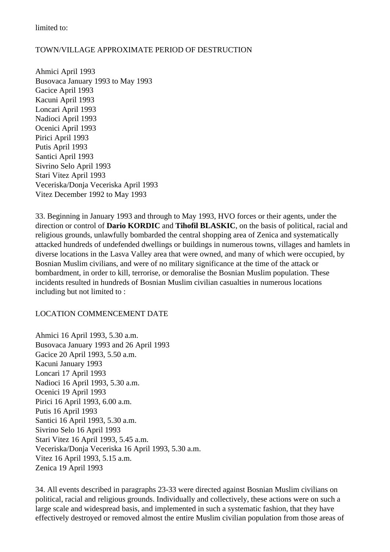limited to:

### TOWN/VILLAGE APPROXIMATE PERIOD OF DESTRUCTION

Ahmici April 1993 Busovaca January 1993 to May 1993 Gacice April 1993 Kacuni April 1993 Loncari April 1993 Nadioci April 1993 Ocenici April 1993 Pirici April 1993 Putis April 1993 Santici April 1993 Sivrino Selo April 1993 Stari Vitez April 1993 Veceriska/Donja Veceriska April 1993 Vitez December 1992 to May 1993

33. Beginning in January 1993 and through to May 1993, HVO forces or their agents, under the direction or control of **Dario KORDIC** and **Tihofil BLASKIC**, on the basis of political, racial and religious grounds, unlawfully bombarded the central shopping area of Zenica and systematically attacked hundreds of undefended dwellings or buildings in numerous towns, villages and hamlets in diverse locations in the Lasva Valley area that were owned, and many of which were occupied, by Bosnian Muslim civilians, and were of no military significance at the time of the attack or bombardment, in order to kill, terrorise, or demoralise the Bosnian Muslim population. These incidents resulted in hundreds of Bosnian Muslim civilian casualties in numerous locations including but not limited to :

### LOCATION COMMENCEMENT DATE

Ahmici 16 April 1993, 5.30 a.m. Busovaca January 1993 and 26 April 1993 Gacice 20 April 1993, 5.50 a.m. Kacuni January 1993 Loncari 17 April 1993 Nadioci 16 April 1993, 5.30 a.m. Ocenici 19 April 1993 Pirici 16 April 1993, 6.00 a.m. Putis 16 April 1993 Santici 16 April 1993, 5.30 a.m. Sivrino Selo 16 April 1993 Stari Vitez 16 April 1993, 5.45 a.m. Veceriska/Donja Veceriska 16 April 1993, 5.30 a.m. Vitez 16 April 1993, 5.15 a.m. Zenica 19 April 1993

34. All events described in paragraphs 23-33 were directed against Bosnian Muslim civilians on political, racial and religious grounds. Individually and collectively, these actions were on such a large scale and widespread basis, and implemented in such a systematic fashion, that they have effectively destroyed or removed almost the entire Muslim civilian population from those areas of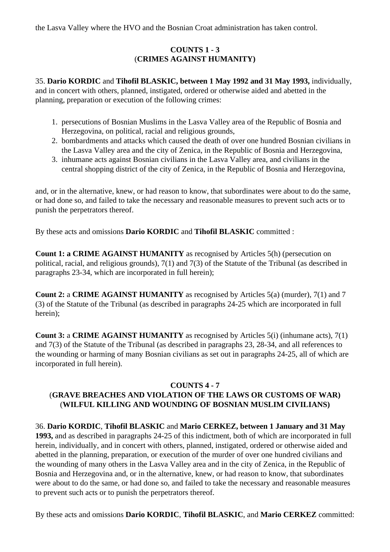the Lasva Valley where the HVO and the Bosnian Croat administration has taken control.

# **COUNTS 1 - 3**  (**CRIMES AGAINST HUMANITY)**

35. **Dario KORDIC** and **Tihofil BLASKIC, between 1 May 1992 and 31 May 1993,** individually, and in concert with others, planned, instigated, ordered or otherwise aided and abetted in the planning, preparation or execution of the following crimes:

- 1. persecutions of Bosnian Muslims in the Lasva Valley area of the Republic of Bosnia and Herzegovina, on political, racial and religious grounds,
- 2. bombardments and attacks which caused the death of over one hundred Bosnian civilians in the Lasva Valley area and the city of Zenica, in the Republic of Bosnia and Herzegovina,
- 3. inhumane acts against Bosnian civilians in the Lasva Valley area, and civilians in the central shopping district of the city of Zenica, in the Republic of Bosnia and Herzegovina,

and, or in the alternative, knew, or had reason to know, that subordinates were about to do the same, or had done so, and failed to take the necessary and reasonable measures to prevent such acts or to punish the perpetrators thereof.

By these acts and omissions **Dario KORDIC** and **Tihofil BLASKIC** committed :

**Count 1: a CRIME AGAINST HUMANITY** as recognised by Articles 5(h) (persecution on political, racial, and religious grounds), 7(1) and 7(3) of the Statute of the Tribunal (as described in paragraphs 23-34, which are incorporated in full herein);

**Count 2:** a **CRIME AGAINST HUMANITY** as recognised by Articles 5(a) (murder), 7(1) and 7 (3) of the Statute of the Tribunal (as described in paragraphs 24-25 which are incorporated in full herein);

**Count 3:** a **CRIME AGAINST HUMANITY** as recognised by Articles 5(i) (inhumane acts), 7(1) and 7(3) of the Statute of the Tribunal (as described in paragraphs 23, 28-34, and all references to the wounding or harming of many Bosnian civilians as set out in paragraphs 24-25, all of which are incorporated in full herein).

### **COUNTS 4 - 7**

# (**GRAVE BREACHES AND VIOLATION OF THE LAWS OR CUSTOMS OF WAR)**  (**WILFUL KILLING AND WOUNDING OF BOSNIAN MUSLIM CIVILIANS)**

36. **Dario KORDIC**, **Tihofil BLASKIC** and **Mario CERKEZ, between 1 January and 31 May 1993,** and as described in paragraphs 24-25 of this indictment, both of which are incorporated in full herein, individually, and in concert with others, planned, instigated, ordered or otherwise aided and abetted in the planning, preparation, or execution of the murder of over one hundred civilians and the wounding of many others in the Lasva Valley area and in the city of Zenica, in the Republic of Bosnia and Herzegovina and, or in the alternative, knew, or had reason to know, that subordinates were about to do the same, or had done so, and failed to take the necessary and reasonable measures to prevent such acts or to punish the perpetrators thereof.

By these acts and omissions **Dario KORDIC**, **Tihofil BLASKIC**, and **Mario CERKEZ** committed: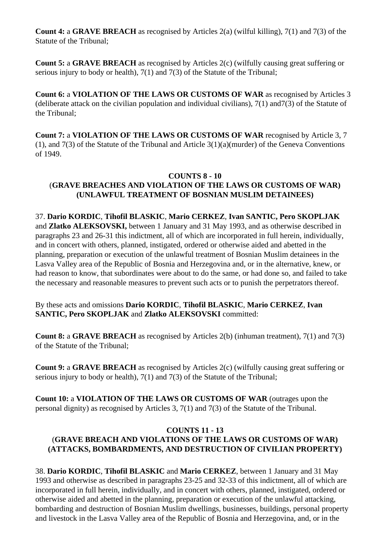**Count 4:** a **GRAVE BREACH** as recognised by Articles 2(a) (wilful killing), 7(1) and 7(3) of the Statute of the Tribunal;

**Count 5:** a **GRAVE BREACH** as recognised by Articles 2(c) (wilfully causing great suffering or serious injury to body or health), 7(1) and 7(3) of the Statute of the Tribunal;

**Count 6:** a **VIOLATION OF THE LAWS OR CUSTOMS OF WAR** as recognised by Articles 3 (deliberate attack on the civilian population and individual civilians), 7(1) and7(3) of the Statute of the Tribunal;

**Count 7:** a **VIOLATION OF THE LAWS OR CUSTOMS OF WAR** recognised by Article 3, 7 (1), and 7(3) of the Statute of the Tribunal and Article 3(1)(a)(murder) of the Geneva Conventions of 1949.

## **COUNTS 8 - 10**  (**GRAVE BREACHES AND VIOLATION OF THE LAWS OR CUSTOMS OF WAR) (UNLAWFUL TREATMENT OF BOSNIAN MUSLIM DETAINEES)**

37. **Dario KORDIC**, **Tihofil BLASKIC**, **Mario CERKEZ**, **Ivan SANTIC, Pero SKOPLJAK**  and **Zlatko ALEKSOVSKI,** between 1 January and 31 May 1993, and as otherwise described in paragraphs 23 and 26-31 this indictment, all of which are incorporated in full herein, individually, and in concert with others, planned, instigated, ordered or otherwise aided and abetted in the planning, preparation or execution of the unlawful treatment of Bosnian Muslim detainees in the Lasva Valley area of the Republic of Bosnia and Herzegovina and, or in the alternative, knew, or had reason to know, that subordinates were about to do the same, or had done so, and failed to take the necessary and reasonable measures to prevent such acts or to punish the perpetrators thereof.

By these acts and omissions **Dario KORDIC**, **Tihofil BLASKIC**, **Mario CERKEZ**, **Ivan SANTIC, Pero SKOPLJAK** and **Zlatko ALEKSOVSKI** committed:

**Count 8:** a **GRAVE BREACH** as recognised by Articles 2(b) (inhuman treatment), 7(1) and 7(3) of the Statute of the Tribunal;

**Count 9:** a **GRAVE BREACH** as recognised by Articles 2(c) (wilfully causing great suffering or serious injury to body or health), 7(1) and 7(3) of the Statute of the Tribunal;

**Count 10:** a **VIOLATION OF THE LAWS OR CUSTOMS OF WAR** (outrages upon the personal dignity) as recognised by Articles 3, 7(1) and 7(3) of the Statute of the Tribunal.

## **COUNTS 11 - 13**  (**GRAVE BREACH AND VIOLATIONS OF THE LAWS OR CUSTOMS OF WAR) (ATTACKS, BOMBARDMENTS, AND DESTRUCTION OF CIVILIAN PROPERTY)**

38. **Dario KORDIC**, **Tihofil BLASKIC** and **Mario CERKEZ**, between 1 January and 31 May 1993 and otherwise as described in paragraphs 23-25 and 32-33 of this indictment, all of which are incorporated in full herein, individually, and in concert with others, planned, instigated, ordered or otherwise aided and abetted in the planning, preparation or execution of the unlawful attacking, bombarding and destruction of Bosnian Muslim dwellings, businesses, buildings, personal property and livestock in the Lasva Valley area of the Republic of Bosnia and Herzegovina, and, or in the